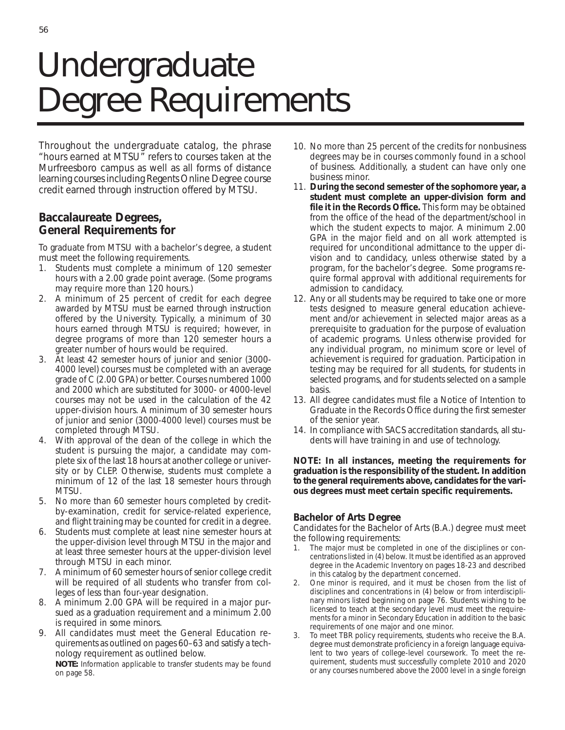# Undergraduate Degree Requirements

Throughout the undergraduate catalog, the phrase "hours earned at MTSU" refers to courses taken at the Murfreesboro campus as well as all forms of distance learning courses including Regents Online Degree course credit earned through instruction offered by MTSU.

## **Baccalaureate Degrees, General Requirements for**

To graduate from MTSU with a bachelor's degree, a student must meet the following requirements.

- 1. Students must complete a minimum of 120 semester hours with a 2.00 grade point average. (Some programs may require more than 120 hours.)
- 2. A minimum of 25 percent of credit for each degree awarded by MTSU must be earned through instruction offered by the University. Typically, a minimum of 30 hours earned through MTSU is required; however, in degree programs of more than 120 semester hours a greater number of hours would be required.
- 3. At least 42 semester hours of junior and senior (3000- 4000 level) courses must be completed with an average grade of C (2.00 GPA) or better. Courses numbered 1000 and 2000 which are substituted for 3000- or 4000-level courses may not be used in the calculation of the 42 upper-division hours. A minimum of 30 semester hours of junior and senior (3000-4000 level) courses must be completed through MTSU.
- 4. With approval of the dean of the college in which the student is pursuing the major, a candidate may complete six of the last 18 hours at another college or university or by CLEP. Otherwise, students must complete a minimum of 12 of the last 18 semester hours through MTSU.
- 5. No more than 60 semester hours completed by creditby-examination, credit for service-related experience, and flight training may be counted for credit in a degree.
- 6. Students must complete at least nine semester hours at the upper-division level through MTSU in the major and at least three semester hours at the upper-division level through MTSU in each minor.
- 7. A minimum of 60 semester hours of senior college credit will be required of all students who transfer from colleges of less than four-year designation.
- 8. A minimum 2.00 GPA will be required in a major pursued as a graduation requirement and a minimum 2.00 is required in some minors.
- 9. All candidates must meet the General Education requirements as outlined on pages 60–63 and satisfy a technology requirement as outlined below.

*NOTE: Information applicable to transfer students may be found on page* 58.

- 10. No more than 25 percent of the credits for nonbusiness degrees may be in courses commonly found in a school of business. Additionally, a student can have only one business minor.
- 11. **During the second semester of the sophomore year, a student must complete an upper-division form and file it in the Records Office.** This form may be obtained from the office of the head of the department/school in which the student expects to major. A minimum 2.00 GPA in the major field and on all work attempted is required for unconditional admittance to the upper division and to candidacy, unless otherwise stated by a program, for the bachelor's degree. Some programs require formal approval with additional requirements for admission to candidacy.
- 12. Any or all students may be required to take one or more tests designed to measure general education achievement and/or achievement in selected major areas as a prerequisite to graduation for the purpose of evaluation of academic programs. Unless otherwise provided for any individual program, no minimum score or level of achievement is required for graduation. Participation in testing may be required for all students, for students in selected programs, and for students selected on a sample basis.
- 13. All degree candidates must file a Notice of Intention to Graduate in the Records Office during the first semester of the senior year.
- 14. In compliance with SACS accreditation standards, all students will have training in and use of technology.

### **NOTE: In all instances, meeting the requirements for graduation is the responsibility of the student. In addition to the general requirements above, candidates for the various degrees must meet certain specific requirements.**

## **Bachelor of Arts Degree**

Candidates for the Bachelor of Arts (B.A.) degree must meet the following requirements:

- 1. The major must be completed in one of the disciplines or concentrations listed in (4) below. It must be identified as an approved degree in the Academic Inventory on pages 18-23 and described in this catalog by the department concerned.
- 2. One minor is required, and it must be chosen from the list of disciplines and concentrations in (4) below or from interdisciplinary minors listed beginning on page 76. Students wishing to be licensed to teach at the secondary level must meet the requirements for a minor in Secondary Education in addition to the basic requirements of one major and one minor.
- To meet TBR policy requirements, students who receive the B.A. degree must demonstrate proficiency in a foreign language equivalent to two years of college-level coursework. To meet the requirement, students must successfully complete 2010 and 2020 or any courses numbered above the 2000 level in a single foreign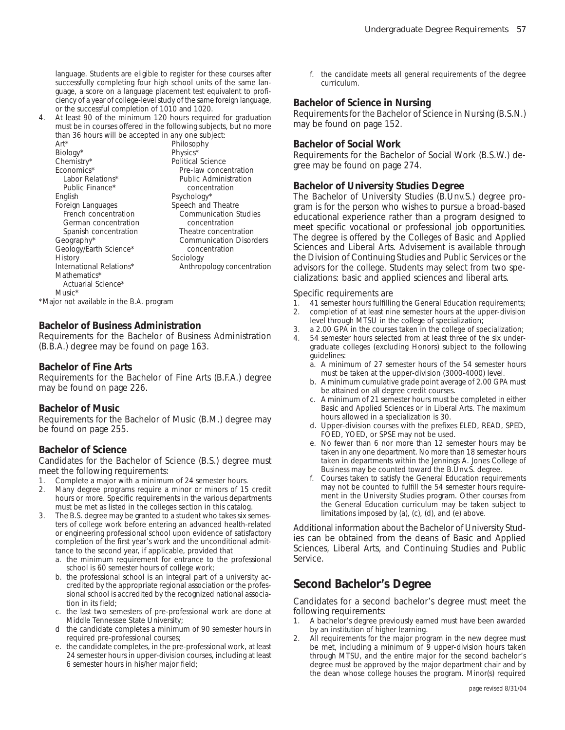language. Students are eligible to register for these courses after successfully completing four high school units of the same language, a score on a language placement test equivalent to proficiency of a year of college-level study of the same foreign language, or the successful completion of 1010 and 1020.

4. At least 90 of the minimum 120 hours required for graduation must be in courses offered in the following subjects, but no more than 36 hours will be accepted in any one subject:

| than oo nodis will be accepted in any one sabject. |
|----------------------------------------------------|
| Philosophy                                         |
| Physics*                                           |
| Political Science                                  |
| Pre-law concentration                              |
| Public Administration                              |
| concentration                                      |
| Psychology*                                        |
| Speech and Theatre                                 |
| <b>Communication Studies</b>                       |
| concentration                                      |
| Theatre concentration                              |
| <b>Communication Disorders</b>                     |
| concentration                                      |
| Sociology                                          |
| Anthropology concentration                         |
|                                                    |
|                                                    |
|                                                    |

*\*Major not available in the B.A. program*

### **Bachelor of Business Administration**

Requirements for the Bachelor of Business Administration (B.B.A.) degree may be found on page 163.

#### **Bachelor of Fine Arts**

Requirements for the Bachelor of Fine Arts (B.F.A.) degree may be found on page 226.

#### **Bachelor of Music**

Requirements for the Bachelor of Music (B.M.) degree may be found on page 255.

#### **Bachelor of Science**

Candidates for the Bachelor of Science (B.S.) degree must meet the following requirements:

- 1. Complete a major with a minimum of 24 semester hours.
- 2. Many degree programs require a minor or minors of 15 credit hours or more. Specific requirements in the various departments must be met as listed in the colleges section in this catalog.
- 3. The B.S. degree may be granted to a student who takes six semesters of college work before entering an advanced health-related or engineering professional school upon evidence of satisfactory completion of the first year's work and the unconditional admittance to the second year, if applicable, provided that
	- a. the minimum requirement for entrance to the professional school is 60 semester hours of college work;
	- b. the professional school is an integral part of a university accredited by the appropriate regional association or the professional school is accredited by the recognized national association in its field;
	- c. the last two semesters of pre-professional work are done at Middle Tennessee State University;
	- d the candidate completes a minimum of 90 semester hours in required pre-professional courses;
	- e. the candidate completes, in the pre-professional work, at least 24 semester hours in upper-division courses, including at least 6 semester hours in his/her major field;

f. the candidate meets all general requirements of the degree curriculum.

#### **Bachelor of Science in Nursing**

Requirements for the Bachelor of Science in Nursing (B.S.N.) may be found on page 152.

#### **Bachelor of Social Work**

Requirements for the Bachelor of Social Work (B.S.W.) degree may be found on page 274.

### **Bachelor of University Studies Degree**

The Bachelor of University Studies (B.Unv.S.) degree program is for the person who wishes to pursue a broad-based educational experience rather than a program designed to meet specific vocational or professional job opportunities. The degree is offered by the Colleges of Basic and Applied Sciences and Liberal Arts. Advisement is available through the Division of Continuing Studies and Public Services or the advisors for the college. Students may select from two specializations: basic and applied sciences and liberal arts.

#### Specific requirements are

- 1. 41 semester hours fulfilling the General Education requirements;
- 2. completion of at least nine semester hours at the upper-division
- level through MTSU in the college of specialization; 3. a 2.00 GPA in the courses taken in the college of specialization;
- 54 semester hours selected from at least three of the six undergraduate colleges (excluding Honors) subject to the following
	- guidelines: a. A minimum of 27 semester hours of the 54 semester hours must be taken at the upper-division (3000-4000) level.
	- b. A minimum cumulative grade point average of 2.00 GPA must be attained on all degree credit courses.
	- c. A minimum of 21 semester hours must be completed in either Basic and Applied Sciences or in Liberal Arts. The maximum hours allowed in a specialization is 30.
	- d. Upper-division courses with the prefixes ELED, READ, SPED, FOED, YOED, or SPSE may not be used.
	- e. No fewer than 6 nor more than 12 semester hours may be taken in any one department. No more than 18 semester hours taken in departments within the Jennings A. Jones College of Business may be counted toward the B.Unv.S. degree.
	- f. Courses taken to satisfy the General Education requirements may not be counted to fulfill the 54 semester hours requirement in the University Studies program. Other courses from the General Education curriculum may be taken subject to limitations imposed by (a), (c), (d), and (e) above.

Additional information about the Bachelor of University Studies can be obtained from the deans of Basic and Applied Sciences, Liberal Arts, and Continuing Studies and Public Service.

## **Second Bachelor's Degree**

Candidates for a second bachelor's degree must meet the following requirements:

- 1. A bachelor's degree previously earned must have been awarded by an institution of higher learning.
- 2. All requirements for the major program in the new degree must be met, including a minimum of 9 upper-division hours taken through MTSU, and the entire major for the second bachelor's degree must be approved by the major department chair and by the dean whose college houses the program. Minor(s) required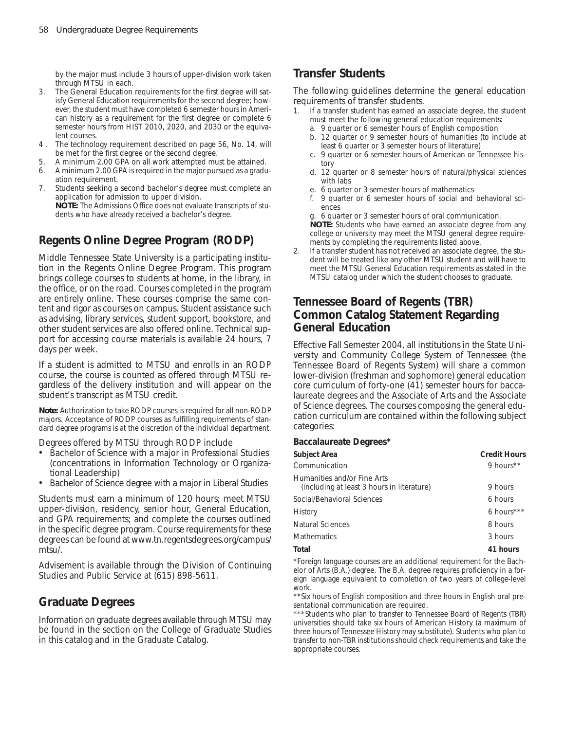by the major must include 3 hours of upper-division work taken through MTSU in each.

- 3. The General Education requirements for the first degree will satisfy General Education requirements for the second degree; however, the student must have completed 6 semester hours in American history as a requirement for the first degree or complete 6 semester hours from HIST 2010, 2020, and 2030 or the equivalent courses.
- 4 . The technology requirement described on page 56, No. 14, will be met for the first degree or the second degree.
- 5. A minimum 2.00 GPA on all work attempted must be attained.
- 6. A minimum 2.00 GPA is required in the major pursued as a graduation requirement.
- 7. Students seeking a second bachelor's degree must complete an application for admission to upper division. *NOTE: The Admissions Office does not evaluate transcripts of students who have already received a bachelor's degree.*

## **Regents Online Degree Program (RODP)**

Middle Tennessee State University is a participating institution in the Regents Online Degree Program. This program brings college courses to students at home, in the library, in the office, or on the road. Courses completed in the program are entirely online. These courses comprise the same content and rigor as courses on campus. Student assistance such as advising, library services, student support, bookstore, and other student services are also offered online. Technical support for accessing course materials is available 24 hours, 7 days per week.

If a student is admitted to MTSU and enrolls in an RODP course, the course is counted as offered through MTSU regardless of the delivery institution and will appear on the student's transcript as MTSU credit.

*Note: Authorization to take RODP courses is required for all non-RODP majors. Acceptance of RODP courses as fulfilling requirements of standard degree programs is at the discretion of the individual department.*

Degrees offered by MTSU through RODP include

- Bachelor of Science with a major in Professional Studies (concentrations in Information Technology or Organizational Leadership)
- Bachelor of Science degree with a major in Liberal Studies

Students must earn a minimum of 120 hours; meet MTSU upper-division, residency, senior hour, General Education, and GPA requirements; and complete the courses outlined in the specific degree program. Course requirements for these degrees can be found at www.tn.regentsdegrees.org/campus/ mtsu/.

Advisement is available through the Division of Continuing Studies and Public Service at (615) 898-5611.

## **Graduate Degrees**

Information on graduate degrees available through MTSU may be found in the section on the College of Graduate Studies in this catalog and in the Graduate Catalog.

## **Transfer Students**

The following guidelines determine the general education requirements of transfer students.

- 1. If a transfer student has earned an associate degree, the student must meet the following general education requirements:
	- a. 9 quarter or 6 semester hours of English composition
	- b. 12 quarter or 9 semester hours of humanities (to include at least 6 quarter or 3 semester hours of literature)
	- c. 9 quarter or 6 semester hours of American or Tennessee history
	- d. 12 quarter or 8 semester hours of natural/physical sciences with labs
	- e. 6 quarter or 3 semester hours of mathematics
	- f. 9 quarter or 6 semester hours of social and behavioral sciences
	- g. 6 quarter or 3 semester hours of oral communication.

*NOTE: Students who have earned an associate degree from any college or university may meet the MTSU general degree requirements by completing the requirements listed above.*

2. If a transfer student has not received an associate degree, the student will be treated like any other MTSU student and will have to meet the MTSU General Education requirements as stated in the MTSU catalog under which the student chooses to graduate.

## **Tennessee Board of Regents (TBR) Common Catalog Statement Regarding General Education**

Effective Fall Semester 2004, all institutions in the State University and Community College System of Tennessee (the Tennessee Board of Regents System) will share a common lower-division (freshman and sophomore) general education core curriculum of forty-one (41) semester hours for baccalaureate degrees and the Associate of Arts and the Associate of Science degrees. The courses composing the general education curriculum are contained within the following subject categories:

#### **Baccalaureate Degrees\***

| Subject Area                                                              | <b>Credit Hours</b> |
|---------------------------------------------------------------------------|---------------------|
| Communication                                                             | 9 hours**           |
| Humanities and/or Fine Arts<br>(including at least 3 hours in literature) | 9 hours             |
| Social/Behavioral Sciences                                                | 6 hours             |
| History                                                                   | 6 hours***          |
| Natural Sciences                                                          | 8 hours             |
| <b>Mathematics</b>                                                        | 3 hours             |
| Total                                                                     | 41 hours            |

*\*Foreign language courses are an additional requirement for the Bachelor of Arts (B.A.) degree. The B.A. degree requires proficiency in a foreign language equivalent to completion of two years of college-level work.*

*\*\*Six hours of English composition and three hours in English oral presentational communication are required.*

*\*\*\*Students who plan to transfer to Tennessee Board of Regents (TBR) universities should take six hours of American History (a maximum of three hours of Tennessee History may substitute). Students who plan to transfer to non-TBR institutions should check requirements and take the appropriate courses.*